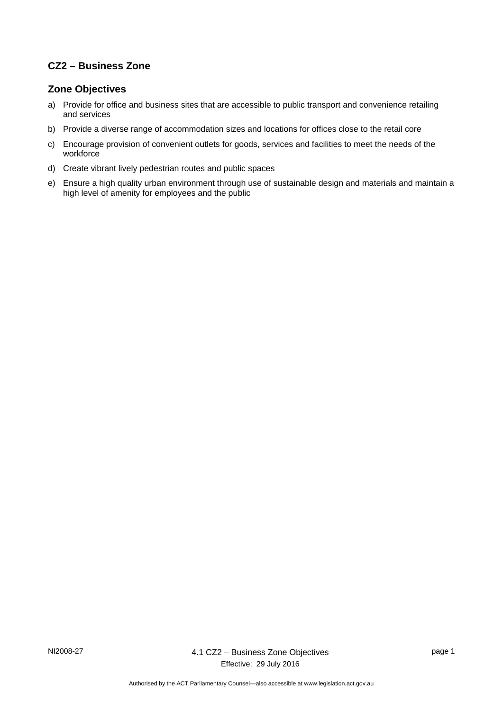# **CZ2 – Business Zone**

#### **Zone Objectives**

- a) Provide for office and business sites that are accessible to public transport and convenience retailing and services
- b) Provide a diverse range of accommodation sizes and locations for offices close to the retail core
- c) Encourage provision of convenient outlets for goods, services and facilities to meet the needs of the workforce
- d) Create vibrant lively pedestrian routes and public spaces
- e) Ensure a high quality urban environment through use of sustainable design and materials and maintain a high level of amenity for employees and the public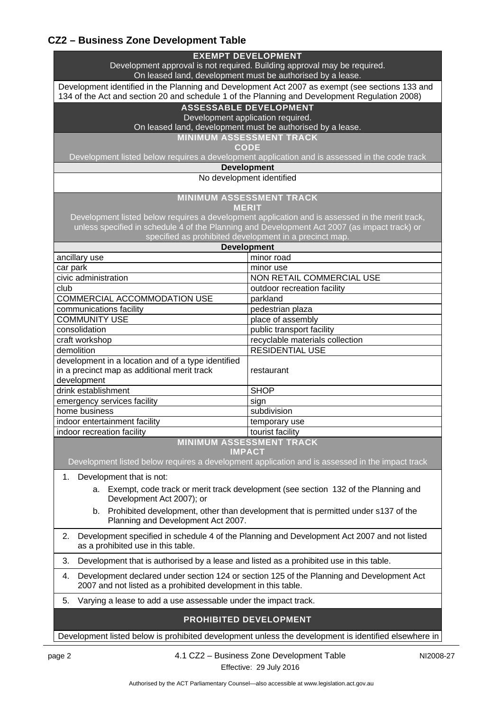# **CZ2 – Business Zone Development Table**

| <b>EXEMPT DEVELOPMENT</b><br>Development approval is not required. Building approval may be required.<br>On leased land, development must be authorised by a lease.                              |                                 |  |
|--------------------------------------------------------------------------------------------------------------------------------------------------------------------------------------------------|---------------------------------|--|
| Development identified in the Planning and Development Act 2007 as exempt (see sections 133 and<br>134 of the Act and section 20 and schedule 1 of the Planning and Development Regulation 2008) |                                 |  |
| <b>ASSESSABLE DEVELOPMENT</b><br>Development application required.                                                                                                                               |                                 |  |
| On leased land, development must be authorised by a lease.                                                                                                                                       |                                 |  |
| <b>MINIMUM ASSESSMENT TRACK</b>                                                                                                                                                                  |                                 |  |
| <b>CODE</b>                                                                                                                                                                                      |                                 |  |
| Development listed below requires a development application and is assessed in the code track<br><b>Development</b>                                                                              |                                 |  |
| No development identified                                                                                                                                                                        |                                 |  |
|                                                                                                                                                                                                  |                                 |  |
| <b>MINIMUM ASSESSMENT TRACK</b><br><b>MERIT</b>                                                                                                                                                  |                                 |  |
| Development listed below requires a development application and is assessed in the merit track,                                                                                                  |                                 |  |
| unless specified in schedule 4 of the Planning and Development Act 2007 (as impact track) or<br>specified as prohibited development in a precinct map.                                           |                                 |  |
| <b>Development</b>                                                                                                                                                                               |                                 |  |
| ancillary use                                                                                                                                                                                    | minor road                      |  |
| car park                                                                                                                                                                                         | minor use                       |  |
| civic administration                                                                                                                                                                             | NON RETAIL COMMERCIAL USE       |  |
| club                                                                                                                                                                                             | outdoor recreation facility     |  |
| <b>COMMERCIAL ACCOMMODATION USE</b>                                                                                                                                                              | parkland                        |  |
| communications facility                                                                                                                                                                          | pedestrian plaza                |  |
| <b>COMMUNITY USE</b>                                                                                                                                                                             | place of assembly               |  |
| consolidation                                                                                                                                                                                    | public transport facility       |  |
| craft workshop                                                                                                                                                                                   | recyclable materials collection |  |
| demolition                                                                                                                                                                                       | <b>RESIDENTIAL USE</b>          |  |
| development in a location and of a type identified<br>in a precinct map as additional merit track<br>development                                                                                 | restaurant                      |  |
| drink establishment                                                                                                                                                                              | <b>SHOP</b>                     |  |
| emergency services facility                                                                                                                                                                      | sign                            |  |
| home business                                                                                                                                                                                    | subdivision                     |  |
| indoor entertainment facility                                                                                                                                                                    | temporary use                   |  |
| indoor recreation facility                                                                                                                                                                       | tourist facility                |  |
| <b>MINIMUM ASSESSMENT TRACK</b><br><b>IMPACT</b>                                                                                                                                                 |                                 |  |
| Development listed below requires a development application and is assessed in the impact track                                                                                                  |                                 |  |
| Development that is not:<br>1.                                                                                                                                                                   |                                 |  |
| Exempt, code track or merit track development (see section 132 of the Planning and<br>а.<br>Development Act 2007); or                                                                            |                                 |  |
| Prohibited development, other than development that is permitted under s137 of the<br>b.<br>Planning and Development Act 2007.                                                                   |                                 |  |
| Development specified in schedule 4 of the Planning and Development Act 2007 and not listed<br>2.<br>as a prohibited use in this table.                                                          |                                 |  |
| 3.<br>Development that is authorised by a lease and listed as a prohibited use in this table.                                                                                                    |                                 |  |
| Development declared under section 124 or section 125 of the Planning and Development Act<br>4.<br>2007 and not listed as a prohibited development in this table.                                |                                 |  |
| 5.<br>Varying a lease to add a use assessable under the impact track.                                                                                                                            |                                 |  |
| <b>PROHIBITED DEVELOPMENT</b>                                                                                                                                                                    |                                 |  |
| Development listed below is prohibited development unless the development is identified elsewhere in                                                                                             |                                 |  |

page 2 4.1 CZ2 – Business Zone Development Table Effective: 29 July 2016